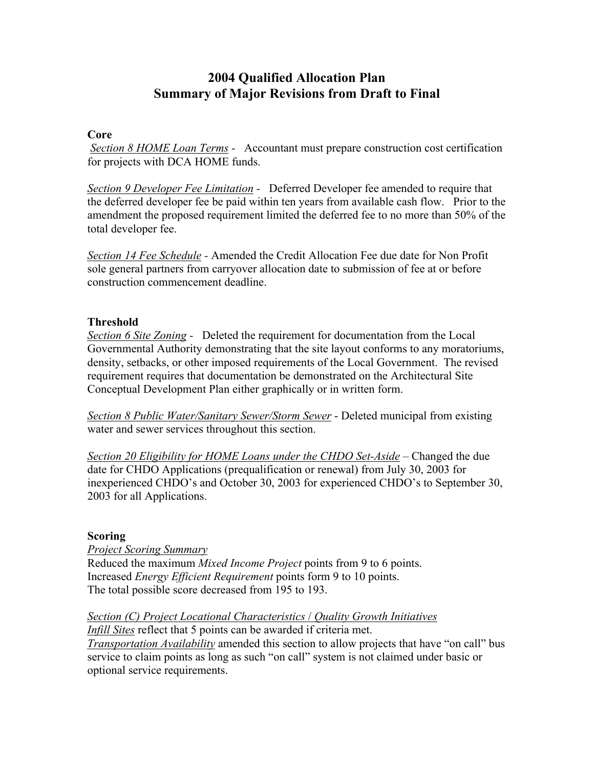## **2004 Qualified Allocation Plan Summary of Major Revisions from Draft to Final**

## **Core**

 *Section 8 HOME Loan Terms -* Accountant must prepare construction cost certification for projects with DCA HOME funds.

*Section 9 Developer Fee Limitation -* Deferred Developer fee amended to require that the deferred developer fee be paid within ten years from available cash flow. Prior to the amendment the proposed requirement limited the deferred fee to no more than 50% of the total developer fee.

*Section 14 Fee Schedule -* Amended the Credit Allocation Fee due date for Non Profit sole general partners from carryover allocation date to submission of fee at or before construction commencement deadline.

## **Threshold**

*Section 6 Site Zoning -* Deleted the requirement for documentation from the Local Governmental Authority demonstrating that the site layout conforms to any moratoriums, density, setbacks, or other imposed requirements of the Local Government. The revised requirement requires that documentation be demonstrated on the Architectural Site Conceptual Development Plan either graphically or in written form.

*Section 8 Public Water/Sanitary Sewer/Storm Sewer* - Deleted municipal from existing water and sewer services throughout this section.

*Section 20 Eligibility for HOME Loans under the CHDO Set-Aside – Changed the due* date for CHDO Applications (prequalification or renewal) from July 30, 2003 for inexperienced CHDO's and October 30, 2003 for experienced CHDO's to September 30, 2003 for all Applications.

## **Scoring**

*Project Scoring Summary* Reduced the maximum *Mixed Income Project* points from 9 to 6 points. Increased *Energy Efficient Requirement* points form 9 to 10 points. The total possible score decreased from 195 to 193.

*Section (C) Project Locational Characteristics* / *Quality Growth Initiatives Infill Sites* reflect that 5 points can be awarded if criteria met. *Transportation Availability* amended this section to allow projects that have "on call" bus service to claim points as long as such "on call" system is not claimed under basic or optional service requirements.